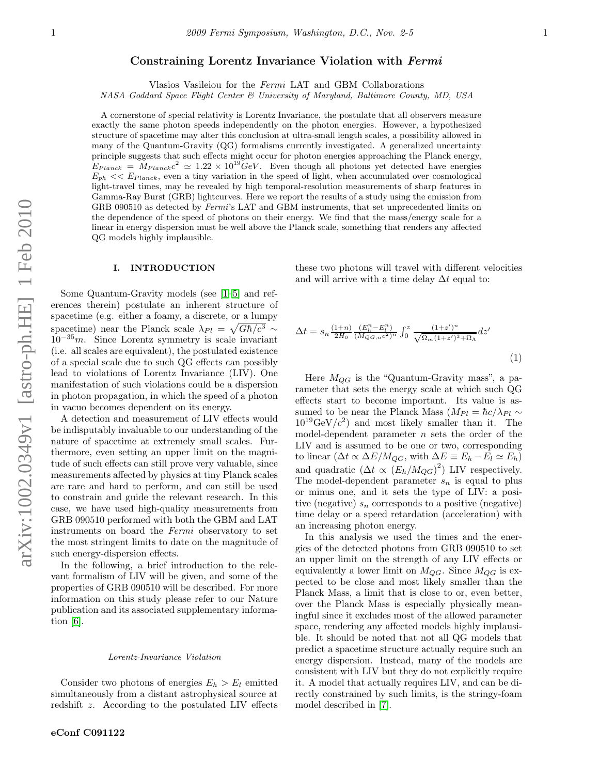# Constraining Lorentz Invariance Violation with Fermi

Vlasios Vasileiou for the Fermi LAT and GBM Collaborations

NASA Goddard Space Flight Center & University of Maryland, Baltimore County, MD, USA

A cornerstone of special relativity is Lorentz Invariance, the postulate that all observers measure exactly the same photon speeds independently on the photon energies. However, a hypothesized structure of spacetime may alter this conclusion at ultra-small length scales, a possibility allowed in many of the Quantum-Gravity (QG) formalisms currently investigated. A generalized uncertainty principle suggests that such effects might occur for photon energies approaching the Planck energy,  $E_{Planck} = M_{Planck}c^2 \simeq 1.22 \times 10^{19} \text{GeV}$ . Even though all photons yet detected have energies  $E_{ph}$   $<< E_{Planck}$ , even a tiny variation in the speed of light, when accumulated over cosmological light-travel times, may be revealed by high temporal-resolution measurements of sharp features in Gamma-Ray Burst (GRB) lightcurves. Here we report the results of a study using the emission from GRB 090510 as detected by Fermi's LAT and GBM instruments, that set unprecedented limits on the dependence of the speed of photons on their energy. We find that the mass/energy scale for a linear in energy dispersion must be well above the Planck scale, something that renders any affected QG models highly implausible.

## I. INTRODUCTION

Some Quantum-Gravity models (see [\[1–](#page-4-0)[5\]](#page-4-1) and references therein) postulate an inherent structure of spacetime (e.g. either a foamy, a discrete, or a lumpy spacetime) near the Planck scale  $\lambda_{Pl} = \sqrt{G\hbar/c^3} \sim$  $10^{-35}m$ . Since Lorentz symmetry is scale invariant (i.e. all scales are equivalent), the postulated existence of a special scale due to such QG effects can possibly lead to violations of Lorentz Invariance (LIV). One manifestation of such violations could be a dispersion in photon propagation, in which the speed of a photon in vacuo becomes dependent on its energy.

A detection and measurement of LIV effects would be indisputably invaluable to our understanding of the nature of spacetime at extremely small scales. Furthermore, even setting an upper limit on the magnitude of such effects can still prove very valuable, since measurements affected by physics at tiny Planck scales are rare and hard to perform, and can still be used to constrain and guide the relevant research. In this case, we have used high-quality measurements from GRB 090510 performed with both the GBM and LAT instruments on board the Fermi observatory to set the most stringent limits to date on the magnitude of such energy-dispersion effects.

In the following, a brief introduction to the relevant formalism of LIV will be given, and some of the properties of GRB 090510 will be described. For more information on this study please refer to our Nature publication and its associated supplementary information [\[6\]](#page-4-2).

## Lorentz-Invariance Violation

Consider two photons of energies  $E_h > E_l$  emitted simultaneously from a distant astrophysical source at redshift z. According to the postulated LIV effects these two photons will travel with different velocities and will arrive with a time delay  $\Delta t$  equal to:

<span id="page-0-0"></span>
$$
\Delta t = s_n \frac{(1+n)}{2H_0} \frac{(E_h^n - E_l^n)}{(M_{QG,n}c^2)^n} \int_0^z \frac{(1+z')^n}{\sqrt{\Omega_m (1+z')^3 + \Omega_\Lambda}} dz'
$$
\n(1)

Here  $M_{QG}$  is the "Quantum-Gravity mass", a parameter that sets the energy scale at which such QG effects start to become important. Its value is assumed to be near the Planck Mass  $(M_{Pl} = \hbar c / \lambda_{Pl} \sim$  $10^{19} \text{GeV}/c^2$ ) and most likely smaller than it. The model-dependent parameter  $n$  sets the order of the LIV and is assumed to be one or two, corresponding to linear  $(\Delta t \propto \Delta E/M_{QG}$ , with  $\Delta E \equiv E_h - E_l \simeq E_h$ ) and quadratic  $(\Delta t \propto (E_h/M_{QG})^2)$  LIV respectively. The model-dependent parameter  $s_n$  is equal to plus or minus one, and it sets the type of LIV: a positive (negative)  $s_n$  corresponds to a positive (negative) time delay or a speed retardation (acceleration) with an increasing photon energy.

In this analysis we used the times and the energies of the detected photons from GRB 090510 to set an upper limit on the strength of any LIV effects or equivalently a lower limit on  $M_{QG}$ . Since  $M_{QG}$  is expected to be close and most likely smaller than the Planck Mass, a limit that is close to or, even better, over the Planck Mass is especially physically meaningful since it excludes most of the allowed parameter space, rendering any affected models highly implausible. It should be noted that not all QG models that predict a spacetime structure actually require such an energy dispersion. Instead, many of the models are consistent with LIV but they do not explicitly require it. A model that actually requires LIV, and can be directly constrained by such limits, is the stringy-foam model described in [\[7\]](#page-4-3).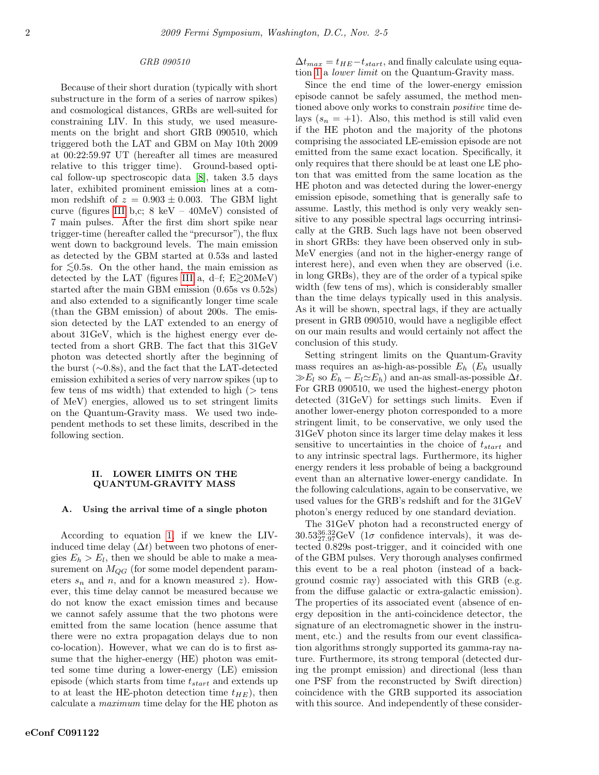## GRB 090510

Because of their short duration (typically with short substructure in the form of a series of narrow spikes) and cosmological distances, GRBs are well-suited for constraining LIV. In this study, we used measurements on the bright and short GRB 090510, which triggered both the LAT and GBM on May 10th 2009 at 00:22:59.97 UT (hereafter all times are measured relative to this trigger time). Ground-based optical follow-up spectroscopic data [\[8\]](#page-4-4), taken 3.5 days later, exhibited prominent emission lines at a common redshift of  $z = 0.903 \pm 0.003$ . The GBM light curve (figures [III](#page-3-0) b,c;  $8 \text{ keV} - 40 \text{MeV}$ ) consisted of 7 main pulses. After the first dim short spike near trigger-time (hereafter called the "precursor"), the flux went down to background levels. The main emission as detected by the GBM started at 0.53s and lasted for  $\leq 0.5$ s. On the other hand, the main emission as detected by the LAT (figures [III](#page-3-0) a, d–f; E $\gtrsim$ 20MeV) started after the main GBM emission (0.65s vs 0.52s) and also extended to a significantly longer time scale (than the GBM emission) of about 200s. The emission detected by the LAT extended to an energy of about 31GeV, which is the highest energy ever detected from a short GRB. The fact that this 31GeV photon was detected shortly after the beginning of the burst (∼0.8s), and the fact that the LAT-detected emission exhibited a series of very narrow spikes (up to few tens of ms width) that extended to high  $($  > tens of MeV) energies, allowed us to set stringent limits on the Quantum-Gravity mass. We used two independent methods to set these limits, described in the following section.

## II. LOWER LIMITS ON THE QUANTUM-GRAVITY MASS

### A. Using the arrival time of a single photon

According to equation [1,](#page-0-0) if we knew the LIVinduced time delay  $(\Delta t)$  between two photons of energies  $E_h > E_l$ , then we should be able to make a measurement on  $M_{QG}$  (for some model dependent parameters  $s_n$  and n, and for a known measured z). However, this time delay cannot be measured because we do not know the exact emission times and because we cannot safely assume that the two photons were emitted from the same location (hence assume that there were no extra propagation delays due to non co-location). However, what we can do is to first assume that the higher-energy (HE) photon was emitted some time during a lower-energy (LE) emission episode (which starts from time  $t_{start}$  and extends up to at least the HE-photon detection time  $t_{HE}$ ), then calculate a maximum time delay for the HE photon as  $\Delta t_{max} = t_{HE} - t_{start},$  and finally calculate using equation [1](#page-0-0) a lower limit on the Quantum-Gravity mass.

Since the end time of the lower-energy emission episode cannot be safely assumed, the method mentioned above only works to constrain *positive* time delays  $(s_n = +1)$ . Also, this method is still valid even if the HE photon and the majority of the photons comprising the associated LE-emission episode are not emitted from the same exact location. Specifically, it only requires that there should be at least one LE photon that was emitted from the same location as the HE photon and was detected during the lower-energy emission episode, something that is generally safe to assume. Lastly, this method is only very weakly sensitive to any possible spectral lags occurring intrinsically at the GRB. Such lags have not been observed in short GRBs: they have been observed only in sub-MeV energies (and not in the higher-energy range of interest here), and even when they are observed (i.e. in long GRBs), they are of the order of a typical spike width (few tens of ms), which is considerably smaller than the time delays typically used in this analysis. As it will be shown, spectral lags, if they are actually present in GRB 090510, would have a negligible effect on our main results and would certainly not affect the conclusion of this study.

Setting stringent limits on the Quantum-Gravity mass requires an as-high-as-possible  $E_h$  ( $E_h$  usually  $\gg E_l$  so  $E_h - E_l \simeq E_h$ ) and an-as small-as-possible  $\Delta t$ . For GRB 090510, we used the highest-energy photon detected (31GeV) for settings such limits. Even if another lower-energy photon corresponded to a more stringent limit, to be conservative, we only used the 31GeV photon since its larger time delay makes it less sensitive to uncertainties in the choice of  $t_{start}$  and to any intrinsic spectral lags. Furthermore, its higher energy renders it less probable of being a background event than an alternative lower-energy candidate. In the following calculations, again to be conservative, we used values for the GRB's redshift and for the 31GeV photon's energy reduced by one standard deviation.

The 31GeV photon had a reconstructed energy of  $30.53_{27.97}^{36.32}$ GeV (1 $\sigma$  confidence intervals), it was detected 0.829s post-trigger, and it coincided with one of the GBM pulses. Very thorough analyses confirmed this event to be a real photon (instead of a background cosmic ray) associated with this GRB (e.g. from the diffuse galactic or extra-galactic emission). The properties of its associated event (absence of energy deposition in the anti-coincidence detector, the signature of an electromagnetic shower in the instrument, etc.) and the results from our event classification algorithms strongly supported its gamma-ray nature. Furthermore, its strong temporal (detected during the prompt emission) and directional (less than one PSF from the reconstructed by Swift direction) coincidence with the GRB supported its association with this source. And independently of these consider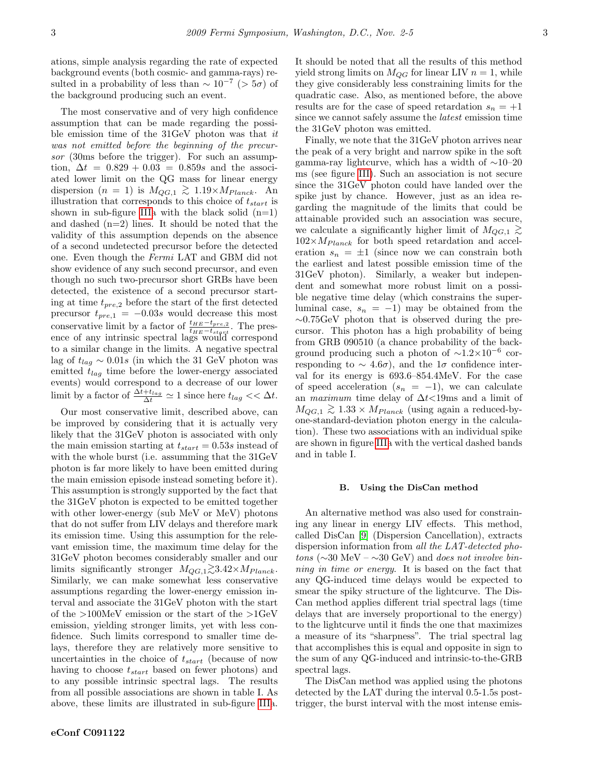ations, simple analysis regarding the rate of expected background events (both cosmic- and gamma-rays) resulted in a probability of less than  $\sim 10^{-7}$  (> 5 $\sigma$ ) of the background producing such an event.

The most conservative and of very high confidence assumption that can be made regarding the possible emission time of the 31GeV photon was that it was not emitted before the beginning of the precursor (30ms before the trigger). For such an assumption,  $\Delta t = 0.829 + 0.03 = 0.859s$  and the associated lower limit on the QG mass for linear energy dispersion  $(n = 1)$  is  $M_{QG,1} \gtrsim 1.19 \times M_{Planck}$ . An illustration that corresponds to this choice of  $t_{start}$  is shown in sub-figure [IIIa](#page-3-0) with the black solid  $(n=1)$ and dashed (n=2) lines. It should be noted that the validity of this assumption depends on the absence of a second undetected precursor before the detected one. Even though the Fermi LAT and GBM did not show evidence of any such second precursor, and even though no such two-precursor short GRBs have been detected, the existence of a second precursor starting at time  $t_{pre,2}$  before the start of the first detected precursor  $t_{pre,1} = -0.03s$  would decrease this most conservative limit by a factor of  $\frac{t_{HE}-t_{pre,2}}{t_{HE}-t_{stqrt}}$ . The presence of any intrinsic spectral lags would correspond to a similar change in the limits. A negative spectral lag of  $t_{lag} \sim 0.01s$  (in which the 31 GeV photon was emitted  $t_{lag}$  time before the lower-energy associated events) would correspond to a decrease of our lower limit by a factor of  $\frac{\Delta t + t_{lag}}{\Delta t} \simeq 1$  since here  $t_{lag} \ll \Delta t$ .

Our most conservative limit, described above, can be improved by considering that it is actually very likely that the 31GeV photon is associated with only the main emission starting at  $t_{start} = 0.53s$  instead of with the whole burst (i.e. assumming that the 31GeV photon is far more likely to have been emitted during the main emission episode instead someting before it). This assumption is strongly supported by the fact that the 31GeV photon is expected to be emitted together with other lower-energy (sub MeV or MeV) photons that do not suffer from LIV delays and therefore mark its emission time. Using this assumption for the relevant emission time, the maximum time delay for the 31GeV photon becomes considerably smaller and our limits significantly stronger  $M_{QG,1} \gtrsim 3.42 \times M_{Planck}$ . Similarly, we can make somewhat less conservative assumptions regarding the lower-energy emission interval and associate the 31GeV photon with the start of the >100MeV emission or the start of the >1GeV emission, yielding stronger limits, yet with less confidence. Such limits correspond to smaller time delays, therefore they are relatively more sensitive to uncertainties in the choice of  $t_{start}$  (because of now having to choose  $t_{start}$  based on fewer photons) and to any possible intrinsic spectral lags. The results from all possible associations are shown in table I. As above, these limits are illustrated in sub-figure [IIIa](#page-3-0).

It should be noted that all the results of this method yield strong limits on  $M_{QG}$  for linear LIV  $n = 1$ , while they give considerably less constraining limits for the quadratic case. Also, as mentioned before, the above results are for the case of speed retardation  $s_n = +1$ since we cannot safely assume the latest emission time the 31GeV photon was emitted.

Finally, we note that the 31GeV photon arrives near the peak of a very bright and narrow spike in the soft gamma-ray lightcurve, which has a width of ∼10–20 ms (see figure [III\)](#page-3-0). Such an association is not secure since the 31GeV photon could have landed over the spike just by chance. However, just as an idea regarding the magnitude of the limits that could be attainable provided such an association was secure, we calculate a significantly higher limit of  $M_{QG,1} \gtrsim$  $102\times M_{Planck}$  for both speed retardation and acceleration  $s_n = \pm 1$  (since now we can constrain both the earliest and latest possible emission time of the 31GeV photon). Similarly, a weaker but independent and somewhat more robust limit on a possible negative time delay (which constrains the superluminal case,  $s_n = -1$ ) may be obtained from the ∼0.75GeV photon that is observed during the precursor. This photon has a high probability of being from GRB 090510 (a chance probability of the background producing such a photon of  $\sim$ 1.2×10<sup>-6</sup> corresponding to  $\sim 4.6\sigma$ , and the 1 $\sigma$  confidence interval for its energy is 693.6–854.4MeV. For the case of speed acceleration  $(s_n = -1)$ , we can calculate an maximum time delay of ∆t<19ms and a limit of  $M_{QG,1} \gtrsim 1.33 \times M_{Planck}$  (using again a reduced-byone-standard-deviation photon energy in the calculation). These two associations with an individual spike are shown in figure [IIIa](#page-3-0) with the vertical dashed bands and in table I.

#### B. Using the DisCan method

An alternative method was also used for constraining any linear in energy LIV effects. This method, called DisCan [\[9\]](#page-4-5) (Dispersion Cancellation), extracts dispersion information from all the LAT-detected photons ( $\sim$ 30 MeV –  $\sim$ 30 GeV) and does not involve binning in time or energy. It is based on the fact that any QG-induced time delays would be expected to smear the spiky structure of the lightcurve. The Dis-Can method applies different trial spectral lags (time delays that are inversely proportional to the energy) to the lightcurve until it finds the one that maximizes a measure of its "sharpness". The trial spectral lag that accomplishes this is equal and opposite in sign to the sum of any QG-induced and intrinsic-to-the-GRB spectral lags.

The DisCan method was applied using the photons detected by the LAT during the interval 0.5-1.5s posttrigger, the burst interval with the most intense emis-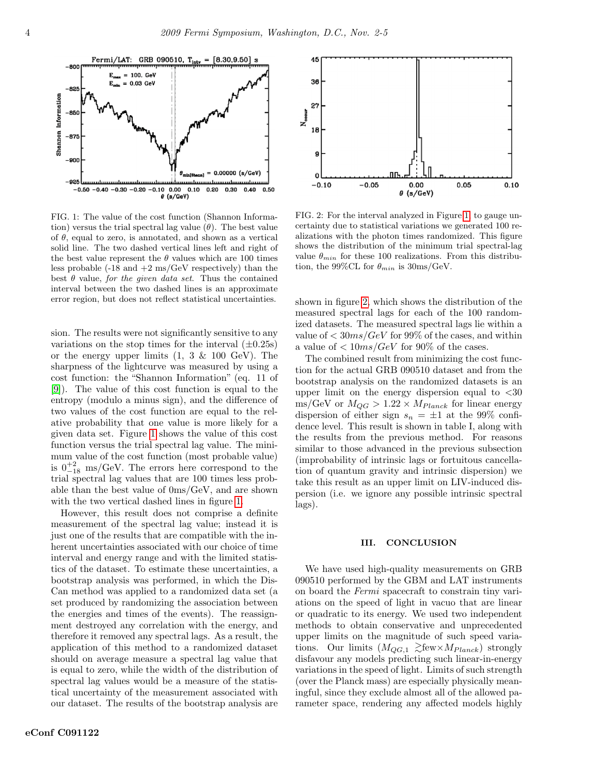

<span id="page-3-1"></span>FIG. 1: The value of the cost function (Shannon Information) versus the trial spectral lag value  $(\theta)$ . The best value of  $\theta$ , equal to zero, is annotated, and shown as a vertical solid line. The two dashed vertical lines left and right of the best value represent the  $\theta$  values which are 100 times less probable  $(-18 \text{ and } +2 \text{ ms}/\text{GeV}$  respectively) than the best  $\theta$  value, for the given data set. Thus the contained interval between the two dashed lines is an approximate error region, but does not reflect statistical uncertainties.

sion. The results were not significantly sensitive to any variations on the stop times for the interval  $(\pm 0.25s)$ or the energy upper limits  $(1, 3 \& 100 \text{ GeV})$ . The sharpness of the lightcurve was measured by using a cost function: the "Shannon Information" (eq. 11 of [\[9\]](#page-4-5)). The value of this cost function is equal to the entropy (modulo a minus sign), and the difference of two values of the cost function are equal to the relative probability that one value is more likely for a given data set. Figure [1](#page-3-1) shows the value of this cost function versus the trial spectral lag value. The minimum value of the cost function (most probable value) is  $0^{+2}_{-18}$  ms/GeV. The errors here correspond to the trial spectral lag values that are 100 times less probable than the best value of 0ms/GeV, and are shown with the two vertical dashed lines in figure [1.](#page-3-1)

However, this result does not comprise a definite measurement of the spectral lag value; instead it is just one of the results that are compatible with the inherent uncertainties associated with our choice of time interval and energy range and with the limited statistics of the dataset. To estimate these uncertainties, a bootstrap analysis was performed, in which the Dis-Can method was applied to a randomized data set (a set produced by randomizing the association between the energies and times of the events). The reassignment destroyed any correlation with the energy, and therefore it removed any spectral lags. As a result, the application of this method to a randomized dataset should on average measure a spectral lag value that is equal to zero, while the width of the distribution of spectral lag values would be a measure of the statistical uncertainty of the measurement associated with our dataset. The results of the bootstrap analysis are



<span id="page-3-2"></span>FIG. 2: For the interval analyzed in Figure [1,](#page-3-1) to gauge uncertainty due to statistical variations we generated 100 realizations with the photon times randomized. This figure shows the distribution of the minimum trial spectral-lag value  $\theta_{min}$  for these 100 realizations. From this distribution, the 99%CL for  $\theta_{min}$  is 30ms/GeV.

shown in figure [2,](#page-3-2) which shows the distribution of the measured spectral lags for each of the 100 randomized datasets. The measured spectral lags lie within a value of  $\langle 30ms/GeV$  for 99% of the cases, and within a value of  $\langle 10 \rangle$  10  $\frac{mg}{GeV}$  for 90% of the cases.

The combined result from minimizing the cost function for the actual GRB 090510 dataset and from the bootstrap analysis on the randomized datasets is an upper limit on the energy dispersion equal to  $<30$  $\text{ms/GeV}$  or  $M_{QG} > 1.22 \times M_{Planck}$  for linear energy dispersion of either sign  $s_n = \pm 1$  at the 99% confidence level. This result is shown in table I, along with the results from the previous method. For reasons similar to those advanced in the previous subsection (improbability of intrinsic lags or fortuitous cancellation of quantum gravity and intrinsic dispersion) we take this result as an upper limit on LIV-induced dispersion (i.e. we ignore any possible intrinsic spectral lags).

#### <span id="page-3-0"></span>III. CONCLUSION

We have used high-quality measurements on GRB 090510 performed by the GBM and LAT instruments on board the Fermi spacecraft to constrain tiny variations on the speed of light in vacuo that are linear or quadratic to its energy. We used two independent methods to obtain conservative and unprecedented upper limits on the magnitude of such speed variations. Our limits  $(M_{QG,1} \gtrsim \text{few} \times M_{Planck})$  strongly disfavour any models predicting such linear-in-energy variations in the speed of light. Limits of such strength (over the Planck mass) are especially physically meaningful, since they exclude almost all of the allowed parameter space, rendering any affected models highly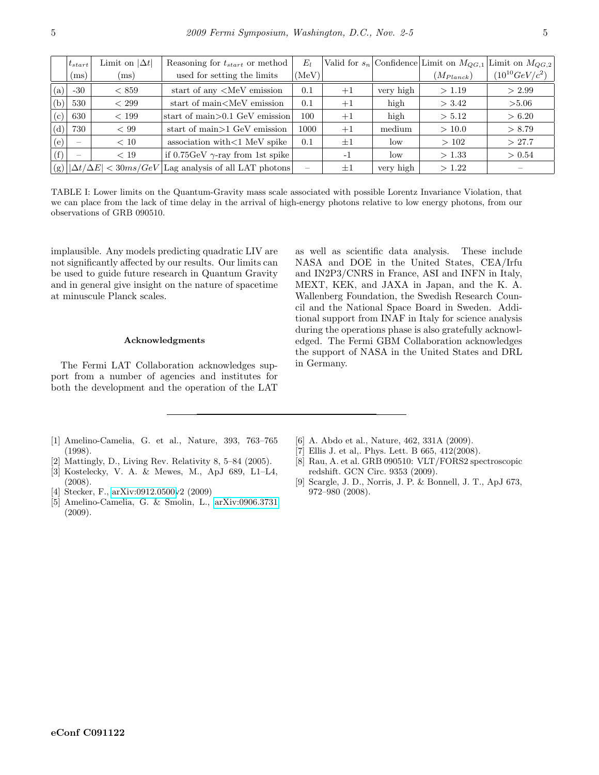|     | $t_{start}$ | Limit on $ \Delta t $                  | Reasoning for $t_{start}$ or method                                                                                               | $E_I$                    |         |           |                | Valid for $s_n$ Confidence Limit on $M_{QG,1}$ Limit on $M_{QG,2}$ |
|-----|-------------|----------------------------------------|-----------------------------------------------------------------------------------------------------------------------------------|--------------------------|---------|-----------|----------------|--------------------------------------------------------------------|
|     | (ms)        | (ms)                                   | used for setting the limits                                                                                                       | (MeV)                    |         |           | $(M_{Planck})$ | $(10^{10} GeV/c^2)$                                                |
| (a) | $-30$       | < 859                                  | start of any $\langle \text{MeV} \rangle$ emission                                                                                | 0.1                      | $+1$    | very high | >1.19          | > 2.99                                                             |
| (b) | 530         | < 299                                  | start of main <mev emission<="" td=""><td>0.1</td><td><math>+1</math></td><td>high</td><td>&gt; 3.42</td><td>&gt; 5.06</td></mev> | 0.1                      | $+1$    | high      | > 3.42         | > 5.06                                                             |
| (c) | 630         | < 199                                  | start of main $>0.1$ GeV emission                                                                                                 | 100                      | $+1$    | high      | > 5.12         | > 6.20                                                             |
| (d) | 730         | < 99                                   | start of main > 1 GeV emission                                                                                                    | 1000                     | $+1$    | medium    | >10.0          | > 8.79                                                             |
| (e) |             | < 10                                   | association with $<$ 1 MeV spike                                                                                                  | 0.1                      | $\pm 1$ | low       | >102           | >27.7                                                              |
| (f) |             | < 19                                   | if $0.75 \text{GeV}$ $\gamma$ -ray from 1st spike                                                                                 |                          | $-1$    | low       | >1.33          | > 0.54                                                             |
|     |             | $(g)$ $ \Delta t/\Delta E $ < 30ms/GeV | Lag analysis of all LAT photons                                                                                                   | $\overline{\phantom{0}}$ | $\pm 1$ | very high | >1.22          |                                                                    |

TABLE I: Lower limits on the Quantum-Gravity mass scale associated with possible Lorentz Invariance Violation, that we can place from the lack of time delay in the arrival of high-energy photons relative to low energy photons, from our observations of GRB 090510.

implausible. Any models predicting quadratic LIV are not significantly affected by our results. Our limits can be used to guide future research in Quantum Gravity and in general give insight on the nature of spacetime at minuscule Planck scales.

#### Acknowledgments

The Fermi LAT Collaboration acknowledges support from a number of agencies and institutes for both the development and the operation of the LAT as well as scientific data analysis. These include NASA and DOE in the United States, CEA/Irfu and IN2P3/CNRS in France, ASI and INFN in Italy, MEXT, KEK, and JAXA in Japan, and the K. A. Wallenberg Foundation, the Swedish Research Council and the National Space Board in Sweden. Additional support from INAF in Italy for science analysis during the operations phase is also gratefully acknowledged. The Fermi GBM Collaboration acknowledges the support of NASA in the United States and DRL in Germany.

- <span id="page-4-0"></span>[1] Amelino-Camelia, G. et al., Nature, 393, 763–765 (1998).
- [2] Mattingly, D., Living Rev. Relativity 8, 5–84 (2005).
- [3] Kostelecky, V. A. & Mewes, M., ApJ 689, L1–L4, (2008).
- [4] Stecker, F., [arXiv:0912.0500v](http://arxiv.org/abs/0912.0500)2 (2009)
- <span id="page-4-1"></span>[5] Amelino-Camelia, G. & Smolin, L., [arXiv:0906.3731](http://arxiv.org/abs/0906.3731) (2009).
- <span id="page-4-2"></span>[6] A. Abdo et al., Nature, 462, 331A (2009).
- <span id="page-4-3"></span>[7] Ellis J. et al,. Phys. Lett. B 665, 412(2008).
- <span id="page-4-4"></span>[8] Rau, A. et al. GRB 090510: VLT/FORS2 spectroscopic redshift. GCN Circ. 9353 (2009).
- <span id="page-4-5"></span>[9] Scargle, J. D., Norris, J. P. & Bonnell, J. T., ApJ 673, 972–980 (2008).